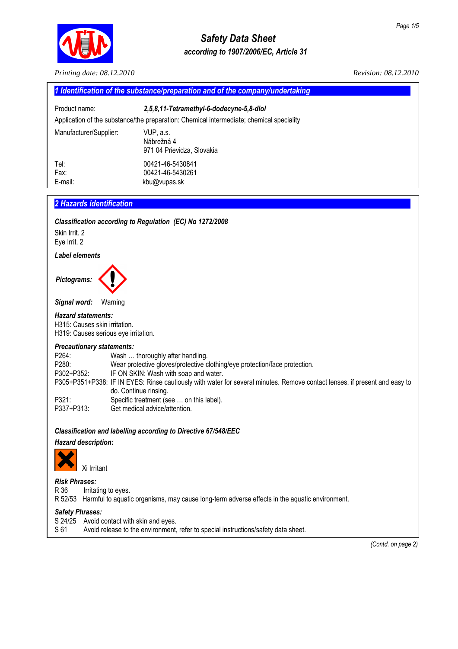

# *Safety Data Sheet according to 1907/2006/EC, Article 31*

*Printing date: 08.12.2010 Revision: 08.12.2010* 

| Product name:           | 2,5,8,11-Tetramethyl-6-dodecyne-5,8-diol                                                 |
|-------------------------|------------------------------------------------------------------------------------------|
|                         | Application of the substance/the preparation: Chemical intermediate; chemical speciality |
| Manufacturer/Supplier:  | VUP, a.s.<br>Nábrežná 4<br>971 04 Prievidza, Slovakia                                    |
| Tel:<br>Fax:<br>E-mail: | 00421-46-5430841<br>00421-46-5430261<br>kbu@vupas.sk                                     |

Eye Irrit. 2

# *Label elements*



*Signal word:* Warning

# *Hazard statements:*

H315: Causes skin irritation. H319: Causes serious eye irritation.

## *Precautionary statements:*

P264: Wash ... thoroughly after handling. P280: Wear protective gloves/protective clothing/eye protection/face protection. P302+P352: IF ON SKIN: Wash with soap and water. P305+P351+P338: IF IN EYES: Rinse cautiously with water for several minutes. Remove contact lenses, if present and easy to do. Continue rinsing. P321: Specific treatment (see ... on this label). P337+P313: Get medical advice/attention.

# *Classification and labelling according to Directive 67/548/EEC*

# *Hazard description:*



# Xi Irritant

*Risk Phrases:* 

R 36 Irritating to eyes.

R 52/53 Harmful to aquatic organisms, may cause long-term adverse effects in the aquatic environment.

# *Safety Phrases:*

- S 24/25 Avoid contact with skin and eyes.
- S 61 Avoid release to the environment, refer to special instructions/safety data sheet.

 *(Contd. on page 2)*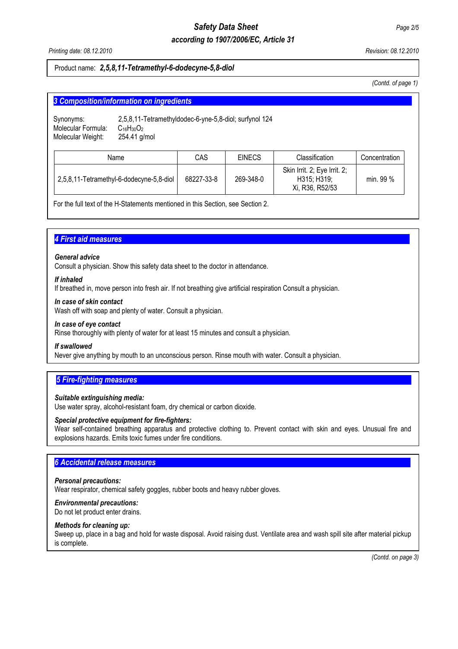# *Safety Data Sheet Page 2/5*

# *according to 1907/2006/EC, Article 31*

*Printing date: 08.12.2010 Revision: 08.12.2010* 

# Product name: *2,5,8,11-Tetramethyl-6-dodecyne-5,8-diol*

 *(Contd. of page 1)* 

| 3 Composition/information on ingredients |  |
|------------------------------------------|--|
|                                          |  |

| Synonyms:          | 2,5,8,11-Tetramethyldodec-6-yne-5,8-diol; surfynol 124 |
|--------------------|--------------------------------------------------------|
| Molecular Formula: | $C_{16}H_{30}O_2$                                      |
| Molecular Weight:  | 254.41 a/mol                                           |
|                    |                                                        |

| Name                                     | CAS        | <b>EINECS</b> | Classification                                                 | Concentration |
|------------------------------------------|------------|---------------|----------------------------------------------------------------|---------------|
| 2,5,8,11-Tetramethyl-6-dodecyne-5,8-diol | 68227-33-8 | 269-348-0     | Skin Irrit. 2; Eye Irrit. 2;<br>H315; H319;<br>Xi, R36, R52/53 | min. 99 %     |

For the full text of the H-Statements mentioned in this Section, see Section 2.

# **4 First aid measures**

## *General advice*

Consult a physician. Show this safety data sheet to the doctor in attendance.

## *If inhaled*

If breathed in, move person into fresh air. If not breathing give artificial respiration Consult a physician.

## *In case of skin contact*

Wash off with soap and plenty of water. Consult a physician.

## *In case of eye contact*

Rinse thoroughly with plenty of water for at least 15 minutes and consult a physician.

## *If swallowed*

Never give anything by mouth to an unconscious person. Rinse mouth with water. Consult a physician.

# **5 Fire-fighting measures**

## *Suitable extinguishing media:*

Use water spray, alcohol-resistant foam, dry chemical or carbon dioxide.

# *Special protective equipment for fire-fighters:*

Wear self-contained breathing apparatus and protective clothing to. Prevent contact with skin and eyes. Unusual fire and explosions hazards. Emits toxic fumes under fire conditions.

# **6 Accidental release measures**

## *Personal precautions:*

Wear respirator, chemical safety goggles, rubber boots and heavy rubber gloves.

# *Environmental precautions:*

Do not let product enter drains.

# *Methods for cleaning up:*

Sweep up, place in a bag and hold for waste disposal. Avoid raising dust. Ventilate area and wash spill site after material pickup is complete.

 *(Contd. on page 3)*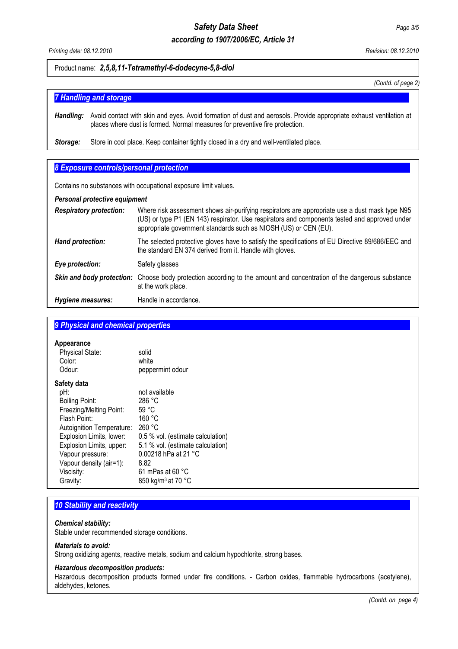# *Safety Data Sheet Page 3/5*

# *according to 1907/2006/EC, Article 31*

*Printing date: 08.12.2010 Revision: 08.12.2010* 

## Product name: *2,5,8,11-Tetramethyl-6-dodecyne-5,8-diol*

*(Contd. of page 2)*

# **7 Handling and storage...**

*Handling:* Avoid contact with skin and eyes. Avoid formation of dust and aerosols. Provide appropriate exhaust ventilation at places where dust is formed. Normal measures for preventive fire protection.

**Storage:** Store in cool place. Keep container tightly closed in a dry and well-ventilated place.

# **8 Exposure controls/personal protection**

Contains no substances with occupational exposure limit values.

#### *Personal protective equipment*

| <b>Respiratory protection:</b> | Where risk assessment shows air-purifying respirators are appropriate use a dust mask type N95<br>(US) or type P1 (EN 143) respirator. Use respirators and components tested and approved under<br>appropriate government standards such as NIOSH (US) or CEN (EU). |
|--------------------------------|---------------------------------------------------------------------------------------------------------------------------------------------------------------------------------------------------------------------------------------------------------------------|
| Hand protection:               | The selected protective gloves have to satisfy the specifications of EU Directive 89/686/EEC and<br>the standard EN 374 derived from it. Handle with gloves.                                                                                                        |
| Eye protection:                | Safety glasses                                                                                                                                                                                                                                                      |
|                                | <b>Skin and body protection:</b> Choose body protection according to the amount and concentration of the dangerous substance<br>at the work place.                                                                                                                  |
| Hygiene measures:              | Handle in accordance.                                                                                                                                                                                                                                               |

# **9 Physical and chemical properties**

#### **Appearance**

| <b>UPPCAINING</b>         |                                   |
|---------------------------|-----------------------------------|
| <b>Physical State:</b>    | solid                             |
| Color:                    | white                             |
| Odour:                    | peppermint odour                  |
| Safety data               |                                   |
| pH:                       | not available                     |
| Boiling Point:            | 286 °C                            |
| Freezing/Melting Point:   | 59 °C                             |
| Flash Point:              | 160 °C                            |
| Autoignition Temperature: | 260 °C                            |
| Explosion Limits, lower:  | 0.5 % vol. (estimate calculation) |
| Explosion Limits, upper:  | 5.1 % vol. (estimate calculation) |
| Vapour pressure:          | 0.00218 hPa at 21 °C              |
| Vapour density (air=1):   | 8.82                              |
| Viscisity:                | 61 mPas at 60 $^{\circ}$ C        |
| Gravity:                  | 850 kg/m <sup>3</sup> at 70 °C    |

# **10 Stability and reactivity**

## *Chemical stability:*

Stable under recommended storage conditions.

#### *Materials to avoid:*

Strong oxidizing agents, reactive metals, sodium and calcium hypochlorite, strong bases.

#### *Hazardous decomposition products:*

Hazardous decomposition products formed under fire conditions. - Carbon oxides, flammable hydrocarbons (acetylene), aldehydes, ketones.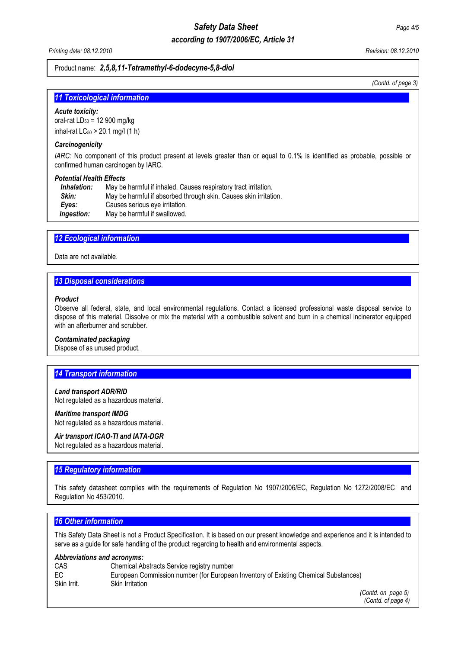# *according to 1907/2006/EC, Article 31*

*Printing date: 08.12.2010 Revision: 08.12.2010* 

## Product name: *2,5,8,11-Tetramethyl-6-dodecyne-5,8-diol*

*(Contd. of page 3)*

#### **11 Toxicological information**

#### *Acute toxicity:*

oral-rat  $LD_{50} = 12900$  mg/kg inhal-rat  $LC_{50}$  > 20.1 mg/l (1 h)

#### *Carcinogenicity*

*IARC:* No component of this product present at levels greater than or equal to 0.1% is identified as probable, possible or confirmed human carcinogen by IARC.

#### *Potential Health Effects*

| Inhalation: | May be harmful if inhaled. Causes respiratory tract irritation.  |
|-------------|------------------------------------------------------------------|
| Skin:       | May be harmful if absorbed through skin. Causes skin irritation. |
| Eves:       | Causes serious eye irritation.                                   |
| Ingestion:  | May be harmful if swallowed.                                     |

## **12 Ecological information**

Data are not available.

# **13 Disposal considerations**

#### *Product*

Observe all federal, state, and local environmental regulations. Contact a licensed professional waste disposal service to dispose of this material. Dissolve or mix the material with a combustible solvent and burn in a chemical incinerator equipped with an afterburner and scrubber.

#### *Contaminated packaging*

Dispose of as unused product.

## **14 Transport information**

#### *Land transport ADR/RID*

Not regulated as a hazardous material.

# *Maritime transport IMDG*

Not regulated as a hazardous material.

## *Air transport ICAO-TI and IATA-DGR*

Not regulated as a hazardous material.

## **15 Regulatory information**

This safety datasheet complies with the requirements of Regulation No 1907/2006/EC, Regulation No 1272/2008/EC and Regulation No 453/2010.

#### *16 Other information.....................................................................................................................................................*

This Safety Data Sheet is not a Product Specification. It is based on our present knowledge and experience and it is intended to serve as a guide for safe handling of the product regarding to health and environmental aspects.

#### *Abbreviations and acronyms:*

| CAS         | Chemical Abstracts Service registry number                                          |
|-------------|-------------------------------------------------------------------------------------|
| EC          | European Commission number (for European Inventory of Existing Chemical Substances) |
| Skin Irrit. | Skin Irritation                                                                     |